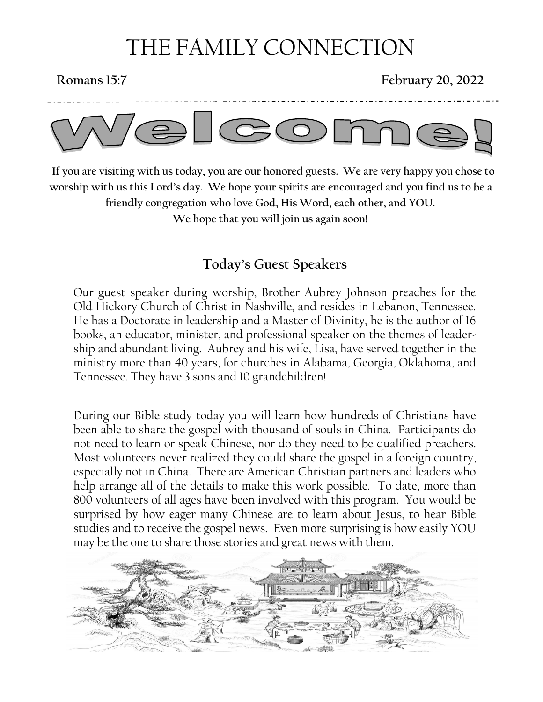# THE FAMILY CONNECTION

**Romans 15:7 February 20, 2022**



 **If you are visiting with us today, you are our honored guests. We are very happy you chose to worship with us this Lord's day. We hope your spirits are encouraged and you find us to be a friendly congregation who love God, His Word, each other, and YOU. We hope that you will join us again soon!**

### **Today's Guest Speakers**

Our guest speaker during worship, Brother Aubrey Johnson preaches for the Old Hickory Church of Christ in Nashville, and resides in Lebanon, Tennessee. He has a Doctorate in leadership and a Master of Divinity, he is the author of 16 books, an educator, minister, and professional speaker on the themes of leadership and abundant living. Aubrey and his wife, Lisa, have served together in the ministry more than 40 years, for churches in Alabama, Georgia, Oklahoma, and Tennessee. They have 3 sons and 10 grandchildren!

During our Bible study today you will learn how hundreds of Christians have been able to share the gospel with thousand of souls in China. Participants do not need to learn or speak Chinese, nor do they need to be qualified preachers. Most volunteers never realized they could share the gospel in a foreign country, especially not in China. There are American Christian partners and leaders who help arrange all of the details to make this work possible. To date, more than 800 volunteers of all ages have been involved with this program. You would be surprised by how eager many Chinese are to learn about Jesus, to hear Bible studies and to receive the gospel news. Even more surprising is how easily YOU may be the one to share those stories and great news with them.

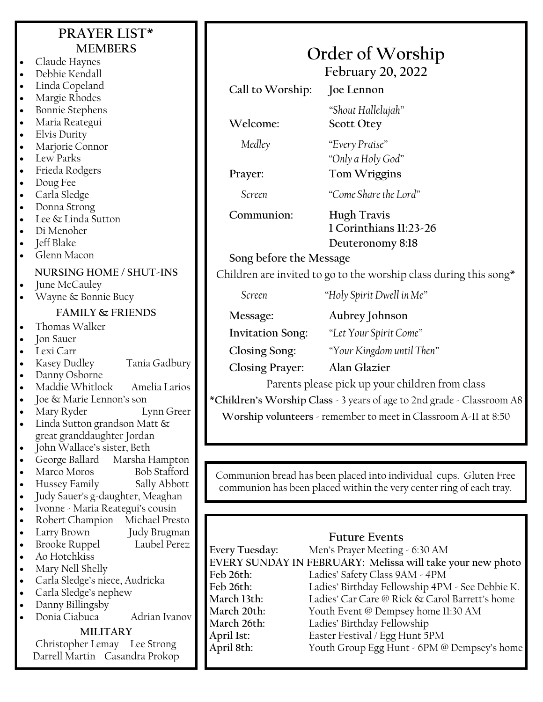#### **Welcome: Scott Otey** *Medley "Every Praise" Screen "Come Share the Lord"* **PRAYER LIST\* MEMBERS** • Claude Haynes • Debbie Kendall • Linda Copeland • Margie Rhodes • Bonnie Stephens • Maria Reategui • Elvis Durity Marjorie Connor Lew Parks • Frieda Rodgers • Doug Fee • Carla Sledge • Donna Strong Lee & Linda Sutton • Di Menoher • Jeff Blake • Glenn Macon **NURSING HOME / SHUT-INS** June McCauley • Wayne & Bonnie Bucy **FAMILY & FRIENDS** • Thomas Walker • Jon Sauer • Lexi Carr • Kasey Dudley Tania Gadbury Danny Osborne • Maddie Whitlock Amelia Larios • Joe & Marie Lennon's son • Mary Ryder Lynn Greer Linda Sutton grandson Matt & great granddaughter Jordan • John Wallace's sister, Beth • George Ballard Marsha Hampton Marco Moros Bob Stafford • Hussey Family Sally Abbott • Judy Sauer's g-daughter, Meaghan • Ivonne - Maria Reategui's cousin • Robert Champion Michael Presto

- 
- Larry Brown Judy Brugman • Brooke Ruppel Laubel Perez
- Ao Hotchkiss
- Mary Nell Shelly
- Carla Sledge's niece, Audricka
- Carla Sledge's nephew
- Danny Billingsby
- Donia Ciabuca Adrian Ivanov

#### **MILITARY**

Christopher Lemay Lee Strong Darrell Martin Casandra Prokop

# **Order of Worship**

**February 20, 2022**

**Call to Worship: Joe Lennon** *"Shout Hallelujah"*

**Prayer: Tom Wriggins**

**Communion: Hugh Travis 1 Corinthians 11:23-26 Deuteronomy 8:18**

**Song before the Message**

Children are invited to go to the worship class during this song\*

*"Only a Holy God"*

*Screen "Holy Spirit Dwell in Me"*

**Invitation Song:** *"Let Your Spirit Come"*

**Message: Aubrey Johnson**

**Closing Song:** *"Your Kingdom until Then"*

**Closing Prayer: Alan Glazier**

Parents please pick up your children from class

**\*Children's Worship Class** - 3 years of age to 2nd grade - Classroom A8

**Worship volunteers** - remember to meet in Classroom A-11 at 8:50

Communion bread has been placed into individual cups. Gluten Free communion has been placed within the very center ring of each tray.

### **Future Events**

**Every Tuesday:** Men's Prayer Meeting - 6:30 AM **EVERY SUNDAY IN FEBRUARY: Melissa will take your new photo Feb 26th:** Ladies' Safety Class 9AM - 4PM **Feb 26th:** Ladies' Birthday Fellowship 4PM - See Debbie K. March 13th: Ladies' Car Care @ Rick & Carol Barrett's home<br>March 20th: Youth Event @ Dempsey home 11:30 AM Youth Event @ Dempsey home 11:30 AM **March 26th:** Ladies' Birthday Fellowship **April 1st:** Easter Festival / Egg Hunt 5PM **April 8th:** Youth Group Egg Hunt - 6PM @ Dempsey's home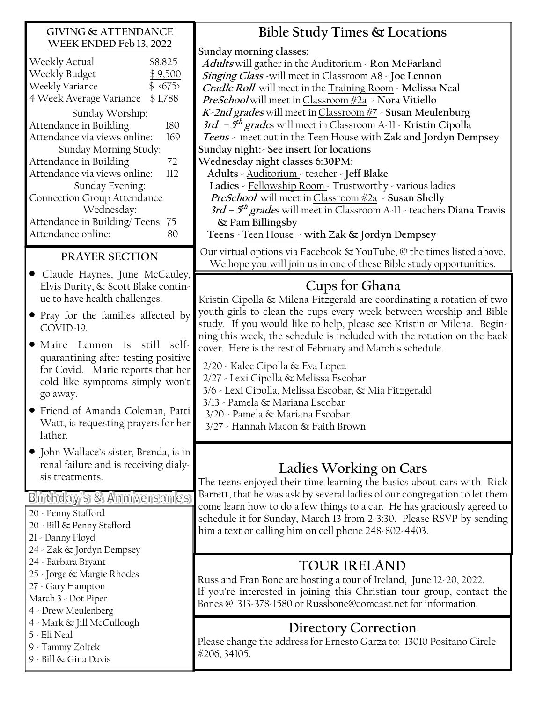#### **GIVING & ATTENDANCE WEEK ENDED Feb 13, 2022**

| Weekly Actual<br>Weekly Budget<br>Weekly Variance | \$8,825<br>\$55 | \$9,500 |
|---------------------------------------------------|-----------------|---------|
| 4 Week Average Variance                           | \$1,788         |         |
| Sunday Worship:                                   |                 |         |
| Attendance in Building                            |                 | 180     |
| Attendance via views online:                      |                 | 169     |
| Sunday Morning Study:                             |                 |         |
| Attendance in Building                            |                 | 72      |
| Attendance via views online:                      |                 | 112     |
| Sunday Evening:                                   |                 |         |
| Connection Group Attendance                       |                 |         |
| Wednesday:                                        |                 |         |
| Attendance in Building/Teens                      |                 | 75      |
| Attendance online:                                |                 | 80      |

### **PRAYER SECTION**

- Claude Haynes, June McCauley, Elvis Durity, & Scott Blake continue to have health challenges.
- Pray for the families affected by COVID-19.
- Maire Lennon is still selfquarantining after testing positive for Covid. Marie reports that her cold like symptoms simply won't go away.
- Friend of Amanda Coleman, Patti Watt, is requesting prayers for her father.
- John Wallace's sister, Brenda, is in renal failure and is receiving dialysis treatments.

Birthday's & Anniversaries

- 20 Penny Stafford
- 20 Bill & Penny Stafford
- 21 Danny Floyd
- 24 Zak & Jordyn Dempsey
- 24 Barbara Bryant
- 25 Jorge & Margie Rhodes
- 27 Gary Hampton
- March 3 Dot Piper
- 4 Drew Meulenberg
- 4 Mark & Jill McCullough
- 5 Eli Neal
- 9 Tammy Zoltek
- 9 Bill & Gina Davis

**Bible Study Times & Locations Sunday morning classes: Adults** will gather in the Auditorium - **Ron McFarland Singing Class -**will meet in Classroom A8 - **Joe Lennon Cradle Roll** will meet in the Training Room - **Melissa Neal PreSchool** will meet inClassroom #2a - **Nora Vitiello K-2nd grades** will meet inClassroom #7 - **Susan Meulenburg 3rd – 5 th grade**s will meet in Classroom A-11 - **Kristin Cipolla Teens -** meet out in the Teen House with **Zak and Jordyn Dempsey Sunday night:- See insert for locations Wednesday night classes 6:30PM: Adults** - Auditorium - teacher - **Jeff Blake Ladies -** Fellowship Room - Trustworthy - various ladies **PreSchool** will meet inClassroom #2a - **Susan Shelly 3rd – 5 th grade**s will meet in Classroom A-11 - teachers **Diana Travis & Pam Billingsby Teens** - Teen House - **with Zak & Jordyn Dempsey**

Our virtual options via Facebook & YouTube, @ the times listed above. We hope you will join us in one of these Bible study opportunities.

### **Cups for Ghana**

Kristin Cipolla & Milena Fitzgerald are coordinating a rotation of two youth girls to clean the cups every week between worship and Bible study. If you would like to help, please see Kristin or Milena. Beginning this week, the schedule is included with the rotation on the back cover. Here is the rest of February and March's schedule.

2/20 - Kalee Cipolla & Eva Lopez

- 2/27 Lexi Cipolla & Melissa Escobar
- 3/6 Lexi Cipolla, Melissa Escobar, & Mia Fitzgerald
- 3/13 Pamela & Mariana Escobar
- 3/20 Pamela & Mariana Escobar
- 3/27 Hannah Macon & Faith Brown

## **Ladies Working on Cars**

The teens enjoyed their time learning the basics about cars with Rick Barrett, that he was ask by several ladies of our congregation to let them come learn how to do a few things to a car. He has graciously agreed to schedule it for Sunday, March 13 from 2-3:30. Please RSVP by sending him a text or calling him on cell phone 248-802-4403.

## **TOUR IRELAND**

Russ and Fran Bone are hosting a tour of Ireland, June 12-20, 2022. If you're interested in joining this Christian tour group, contact the Bones @ 313-378-1580 or Russbone@comcast.net for information.

## **Directory Correction**

Please change the address for Ernesto Garza to: 13010 Positano Circle #206, 34105.